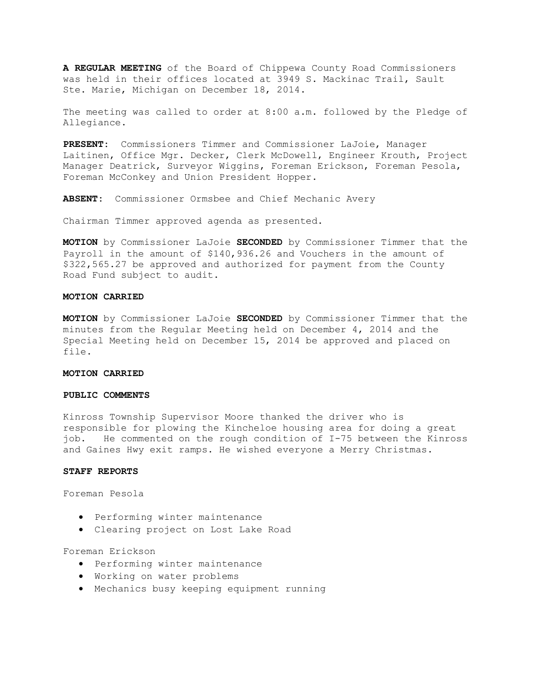**A REGULAR MEETING** of the Board of Chippewa County Road Commissioners was held in their offices located at 3949 S. Mackinac Trail, Sault Ste. Marie, Michigan on December 18, 2014.

The meeting was called to order at 8:00 a.m. followed by the Pledge of Allegiance.

**PRESENT:** Commissioners Timmer and Commissioner LaJoie, Manager Laitinen, Office Mgr. Decker, Clerk McDowell, Engineer Krouth, Project Manager Deatrick, Surveyor Wiggins, Foreman Erickson, Foreman Pesola, Foreman McConkey and Union President Hopper.

**ABSENT:** Commissioner Ormsbee and Chief Mechanic Avery

Chairman Timmer approved agenda as presented.

**MOTION** by Commissioner LaJoie **SECONDED** by Commissioner Timmer that the Payroll in the amount of \$140,936.26 and Vouchers in the amount of \$322,565.27 be approved and authorized for payment from the County Road Fund subject to audit.

#### **MOTION CARRIED**

**MOTION** by Commissioner LaJoie **SECONDED** by Commissioner Timmer that the minutes from the Regular Meeting held on December 4, 2014 and the Special Meeting held on December 15, 2014 be approved and placed on file.

## **MOTION CARRIED**

### **PUBLIC COMMENTS**

Kinross Township Supervisor Moore thanked the driver who is responsible for plowing the Kincheloe housing area for doing a great job. He commented on the rough condition of I-75 between the Kinross and Gaines Hwy exit ramps. He wished everyone a Merry Christmas.

## **STAFF REPORTS**

Foreman Pesola

- · Performing winter maintenance
- · Clearing project on Lost Lake Road

Foreman Erickson

- · Performing winter maintenance
- · Working on water problems
- · Mechanics busy keeping equipment running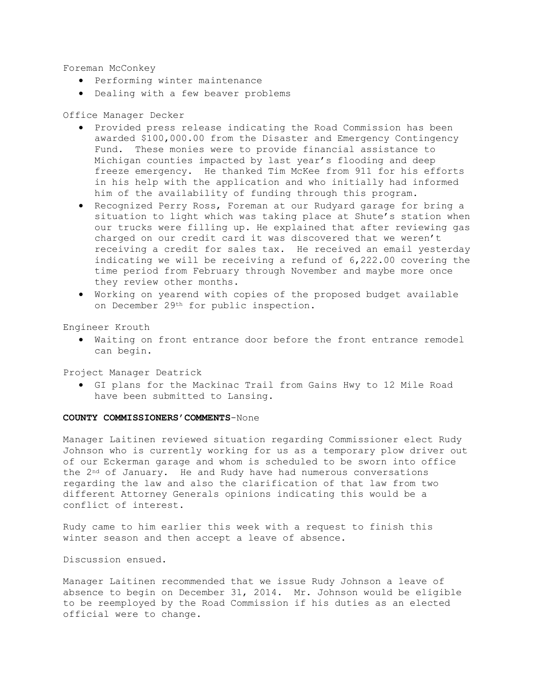Foreman McConkey

- · Performing winter maintenance
- · Dealing with a few beaver problems

### Office Manager Decker

- · Provided press release indicating the Road Commission has been awarded \$100,000.00 from the Disaster and Emergency Contingency Fund. These monies were to provide financial assistance to Michigan counties impacted by last year's flooding and deep freeze emergency. He thanked Tim McKee from 911 for his efforts in his help with the application and who initially had informed him of the availability of funding through this program.
- · Recognized Perry Ross, Foreman at our Rudyard garage for bring a situation to light which was taking place at Shute's station when our trucks were filling up. He explained that after reviewing gas charged on our credit card it was discovered that we weren't receiving a credit for sales tax. He received an email yesterday indicating we will be receiving a refund of 6,222.00 covering the time period from February through November and maybe more once they review other months.
- · Working on yearend with copies of the proposed budget available on December 29th for public inspection.

Engineer Krouth

· Waiting on front entrance door before the front entrance remodel can begin.

Project Manager Deatrick

· GI plans for the Mackinac Trail from Gains Hwy to 12 Mile Road have been submitted to Lansing.

## **COUNTY COMMISSIONERS'COMMENTS**-None

Manager Laitinen reviewed situation regarding Commissioner elect Rudy Johnson who is currently working for us as a temporary plow driver out of our Eckerman garage and whom is scheduled to be sworn into office the 2nd of January. He and Rudy have had numerous conversations regarding the law and also the clarification of that law from two different Attorney Generals opinions indicating this would be a conflict of interest.

Rudy came to him earlier this week with a request to finish this winter season and then accept a leave of absence.

Discussion ensued.

Manager Laitinen recommended that we issue Rudy Johnson a leave of absence to begin on December 31, 2014. Mr. Johnson would be eligible to be reemployed by the Road Commission if his duties as an elected official were to change.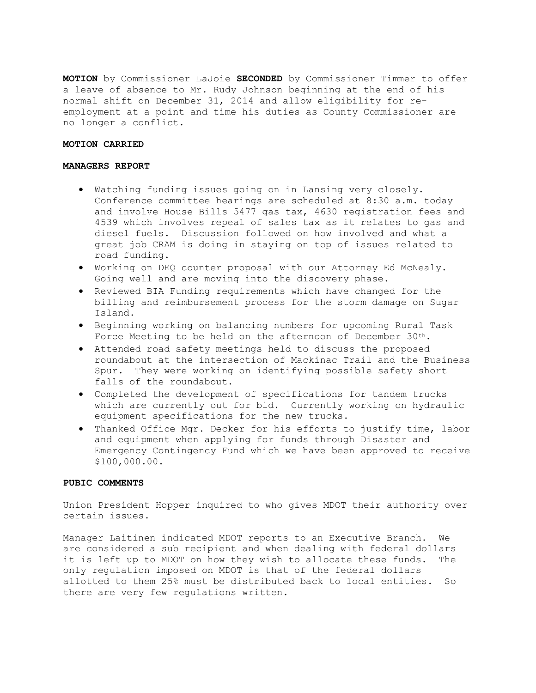**MOTION** by Commissioner LaJoie **SECONDED** by Commissioner Timmer to offer a leave of absence to Mr. Rudy Johnson beginning at the end of his normal shift on December 31, 2014 and allow eligibility for reemployment at a point and time his duties as County Commissioner are no longer a conflict.

## **MOTION CARRIED**

#### **MANAGERS REPORT**

- · Watching funding issues going on in Lansing very closely. Conference committee hearings are scheduled at 8:30 a.m. today and involve House Bills 5477 gas tax, 4630 registration fees and 4539 which involves repeal of sales tax as it relates to gas and diesel fuels. Discussion followed on how involved and what a great job CRAM is doing in staying on top of issues related to road funding.
- · Working on DEQ counter proposal with our Attorney Ed McNealy. Going well and are moving into the discovery phase.
- · Reviewed BIA Funding requirements which have changed for the billing and reimbursement process for the storm damage on Sugar Island.
- · Beginning working on balancing numbers for upcoming Rural Task Force Meeting to be held on the afternoon of December 30th.
- · Attended road safety meetings held to discuss the proposed roundabout at the intersection of Mackinac Trail and the Business Spur. They were working on identifying possible safety short falls of the roundabout.
- · Completed the development of specifications for tandem trucks which are currently out for bid. Currently working on hydraulic equipment specifications for the new trucks.
- · Thanked Office Mgr. Decker for his efforts to justify time, labor and equipment when applying for funds through Disaster and Emergency Contingency Fund which we have been approved to receive \$100,000.00.

### **PUBIC COMMENTS**

Union President Hopper inquired to who gives MDOT their authority over certain issues.

Manager Laitinen indicated MDOT reports to an Executive Branch. We are considered a sub recipient and when dealing with federal dollars it is left up to MDOT on how they wish to allocate these funds. The only regulation imposed on MDOT is that of the federal dollars allotted to them 25% must be distributed back to local entities. So there are very few regulations written.